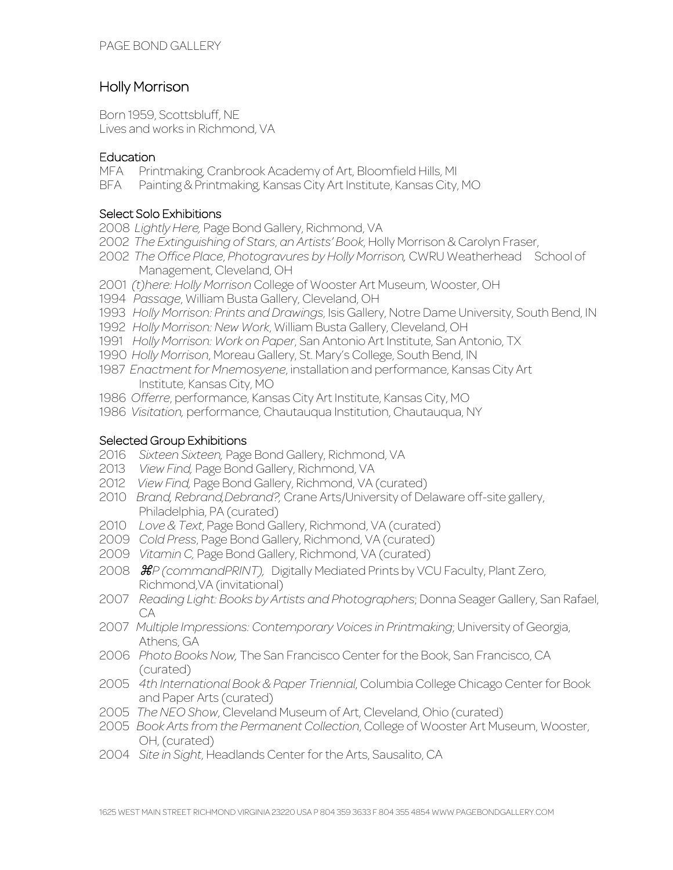# Holly Morrison

Born 1959, Scottsbluff, NE Lives and works in Richmond, VA

### **Education**

- MFA Printmaking, Cranbrook Academy of Art, Bloomfield Hills, MI
- BFA Painting & Printmaking, Kansas City Art Institute, Kansas City, MO

#### Select Solo Exhibitions

- 2008 *Lightly Here,* Page Bond Gallery, Richmond, VA
- 2002 *The Extinguishing of Stars*, *an Artists' Book*, Holly Morrison & Carolyn Fraser,
- 2002 *The Office Place*, *Photogravures by Holly Morrison,* CWRU Weatherhead School of Management, Cleveland, OH
- 2001 *(t)here: Holly Morrison* College of Wooster Art Museum, Wooster, OH
- 1994 *Passage*, William Busta Gallery, Cleveland, OH
- 1993 *Holly Morrison: Prints and Drawings*, Isis Gallery, Notre Dame University, South Bend, IN
- 1992 *Holly Morrison: New Work*, William Busta Gallery, Cleveland, OH
- 1991 *Holly Morrison: Work on Paper*, San Antonio Art Institute, San Antonio, TX
- 1990 *Holly Morrison*, Moreau Gallery, St. Mary's College, South Bend, IN
- 1987 *Enactment for Mnemosyene*, installation and performance, Kansas City Art Institute, Kansas City, MO
- 1986 *Offerre*, performance, Kansas City Art Institute, Kansas City, MO
- 1986 *Visitation,* performance, Chautauqua Institution, Chautauqua, NY

# Selected Group Exhibitions

- 2016 *Sixteen Sixteen,* Page Bond Gallery, Richmond, VA
- 2013 *View Find,* Page Bond Gallery, Richmond, VA
- 2012 *View Find,* Page Bond Gallery, Richmond, VA (curated)
- 2010 *Brand, Rebrand,Debrand?,* Crane Arts/University of Delaware off-site gallery, Philadelphia, PA (curated)
- 2010 *Love & Text*, Page Bond Gallery, Richmond, VA (curated)
- 2009 *Cold Press*, Page Bond Gallery, Richmond, VA (curated)
- 2009 *Vitamin C,* Page Bond Gallery, Richmond, VA (curated)
- 2008 ⌘*P (commandPRINT),* Digitally Mediated Prints by VCU Faculty, Plant Zero, Richmond,VA (invitational)
- 2007 *Reading Light: Books by Artists and Photographers*; Donna Seager Gallery, San Rafael, CA
- 2007 *Multiple Impressions: Contemporary Voices in Printmaking*; University of Georgia, Athens, GA
- 2006 *Photo Books Now,* The San Francisco Center for the Book, San Francisco, CA (curated)
- 2005 *4th International Book & Paper Triennial*, Columbia College Chicago Center for Book and Paper Arts (curated)
- 2005 *The NEO Show*, Cleveland Museum of Art, Cleveland, Ohio (curated)
- 2005 *Book Arts from the Permanent Collection*, College of Wooster Art Museum, Wooster, OH, (curated)
- 2004 *Site in Sight*, Headlands Center for the Arts, Sausalito, CA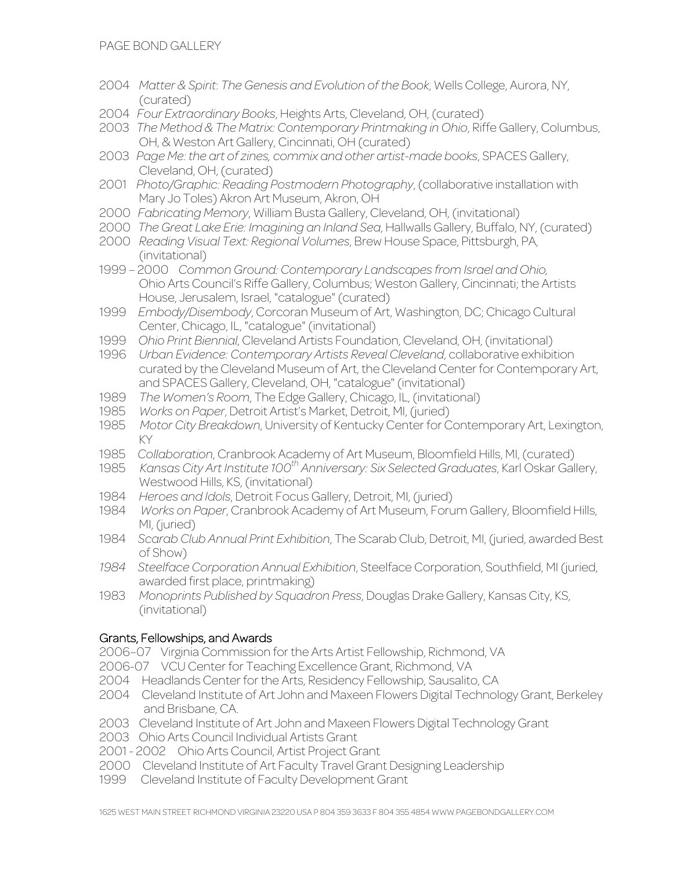- 2004 *Matter & Spirit*: *The Genesis and Evolution of the Book*, Wells College, Aurora, NY, (curated)
- 2004 *Four Extraordinary Books*, Heights Arts, Cleveland, OH, (curated)
- 2003 *The Method & The Matrix: Contemporary Printmaking in Ohio*, Riffe Gallery, Columbus, OH, & Weston Art Gallery, Cincinnati, OH (curated)
- 2003 *Page Me: the art of zines, commix and other artist-made books*, SPACES Gallery, Cleveland, OH, (curated)
- 2001 *Photo/Graphic: Reading Postmodern Photography*, (collaborative installation with Mary Jo Toles) Akron Art Museum, Akron, OH
- 2000 *Fabricating Memory*, William Busta Gallery, Cleveland, OH, (invitational)
- 2000 *The Great Lake Erie: Imagining an Inland Sea*, Hallwalls Gallery, Buffalo, NY, (curated)
- 2000 *Reading Visual Text: Regional Volumes*, Brew House Space, Pittsburgh, PA, (invitational)
- 1999 2000 *Common Ground: Contemporary Landscapes from Israel and Ohio,* Ohio Arts Council's Riffe Gallery, Columbus; Weston Gallery, Cincinnati; the Artists House, Jerusalem, Israel, "catalogue" (curated)
- 1999 *Embody/Disembody*, Corcoran Museum of Art, Washington, DC; Chicago Cultural Center, Chicago, IL, "catalogue" (invitational)
- 1999 *Ohio Print Biennial*, Cleveland Artists Foundation, Cleveland, OH, (invitational)
- 1996 *Urban Evidence: Contemporary Artists Reveal Cleveland*, collaborative exhibition curated by the Cleveland Museum of Art, the Cleveland Center for Contemporary Art, and SPACES Gallery, Cleveland, OH, "catalogue" (invitational)
- 1989 *The Women's Room*, The Edge Gallery, Chicago, IL, (invitational)
- 1985 *Works on Paper*, Detroit Artist's Market, Detroit, MI, (juried)
- 1985 *Motor City Breakdown*, University of Kentucky Center for Contemporary Art, Lexington, KY
- 1985 *Collaboration*, Cranbrook Academy of Art Museum, Bloomfield Hills, MI, (curated)
- 1985 *Kansas City Art Institute 100th Anniversary: Six Selected Graduates*, Karl Oskar Gallery, Westwood Hills, KS, (invitational)
- 1984 *Heroes and Idols*, Detroit Focus Gallery, Detroit, MI, (juried)
- 1984 *Works on Paper*, Cranbrook Academy of Art Museum, Forum Gallery, Bloomfield Hills, MI, (juried)
- 1984 *Scarab Club Annual Print Exhibition*, The Scarab Club, Detroit, MI, (juried, awarded Best of Show)
- *1984 Steelface Corporation Annual Exhibition*, Steelface Corporation, Southfield, MI (juried, awarded first place, printmaking)
- 1983 *Monoprints Published by Squadron Press*, Douglas Drake Gallery, Kansas City, KS, (invitational)

# Grants, Fellowships, and Awards

2006–07 Virginia Commission for the Arts Artist Fellowship, Richmond, VA

- 2006-07 VCU Center for Teaching Excellence Grant, Richmond, VA
- 2004 Headlands Center for the Arts, Residency Fellowship, Sausalito, CA
- 2004 Cleveland Institute of Art John and Maxeen Flowers Digital Technology Grant, Berkeley and Brisbane, CA.
- 2003 Cleveland Institute of Art John and Maxeen Flowers Digital Technology Grant
- 2003 Ohio Arts Council Individual Artists Grant
- 2001 2002 Ohio Arts Council, Artist Project Grant
- 2000 Cleveland Institute of Art Faculty Travel Grant Designing Leadership
- 1999 Cleveland Institute of Faculty Development Grant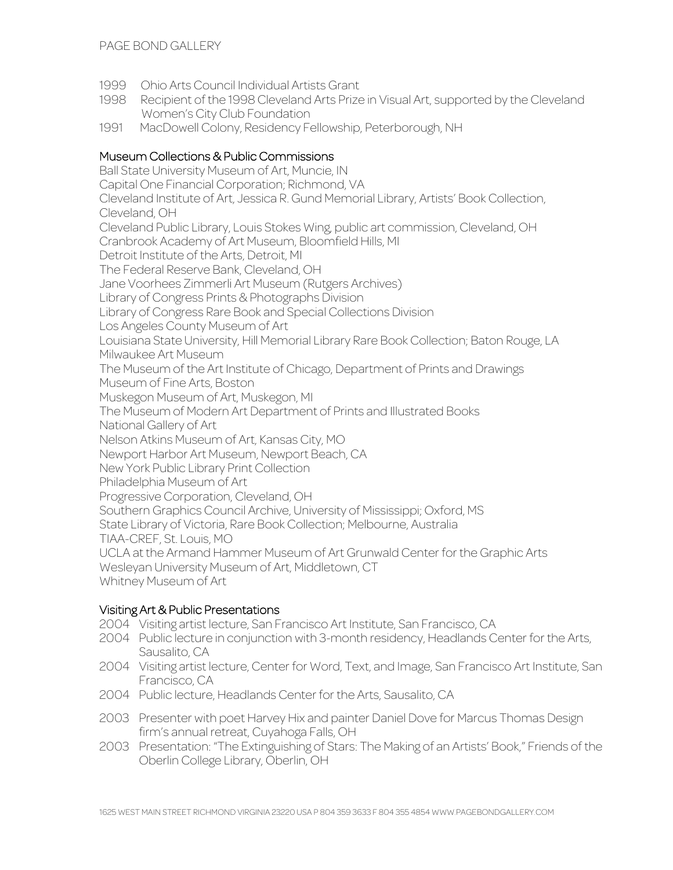- 1999 Ohio Arts Council Individual Artists Grant
- 1998 Recipient of the 1998 Cleveland Arts Prize in Visual Art, supported by the Cleveland Women's City Club Foundation
- 1991 MacDowell Colony, Residency Fellowship, Peterborough, NH

# Museum Collections & Public Commissions

Ball State University Museum of Art, Muncie, IN Capital One Financial Corporation; Richmond, VA Cleveland Institute of Art, Jessica R. Gund Memorial Library, Artists' Book Collection, Cleveland, OH Cleveland Public Library, Louis Stokes Wing, public art commission, Cleveland, OH Cranbrook Academy of Art Museum, Bloomfield Hills, MI Detroit Institute of the Arts, Detroit, MI The Federal Reserve Bank, Cleveland, OH Jane Voorhees Zimmerli Art Museum (Rutgers Archives) Library of Congress Prints & Photographs Division Library of Congress Rare Book and Special Collections Division Los Angeles County Museum of Art Louisiana State University, Hill Memorial Library Rare Book Collection; Baton Rouge, LA Milwaukee Art Museum The Museum of the Art Institute of Chicago, Department of Prints and Drawings Museum of Fine Arts, Boston Muskegon Museum of Art, Muskegon, MI The Museum of Modern Art Department of Prints and Illustrated Books National Gallery of Art Nelson Atkins Museum of Art, Kansas City, MO Newport Harbor Art Museum, Newport Beach, CA New York Public Library Print Collection Philadelphia Museum of Art Progressive Corporation, Cleveland, OH Southern Graphics Council Archive, University of Mississippi; Oxford, MS State Library of Victoria, Rare Book Collection; Melbourne, Australia TIAA-CREF, St. Louis, MO UCLA at the Armand Hammer Museum of Art Grunwald Center for the Graphic Arts Wesleyan University Museum of Art, Middletown, CT Whitney Museum of Art

#### Visiting Art & Public Presentations

- 2004 Visiting artist lecture, San Francisco Art Institute, San Francisco, CA
- 2004 Public lecture in conjunction with 3-month residency, Headlands Center for the Arts, Sausalito, CA
- 2004 Visiting artist lecture, Center for Word, Text, and Image, San Francisco Art Institute, San Francisco, CA
- 2004 Public lecture, Headlands Center for the Arts, Sausalito, CA
- 2003 Presenter with poet Harvey Hix and painter Daniel Dove for Marcus Thomas Design firm's annual retreat, Cuyahoga Falls, OH
- 2003 Presentation: "The Extinguishing of Stars: The Making of an Artists' Book," Friends of the Oberlin College Library, Oberlin, OH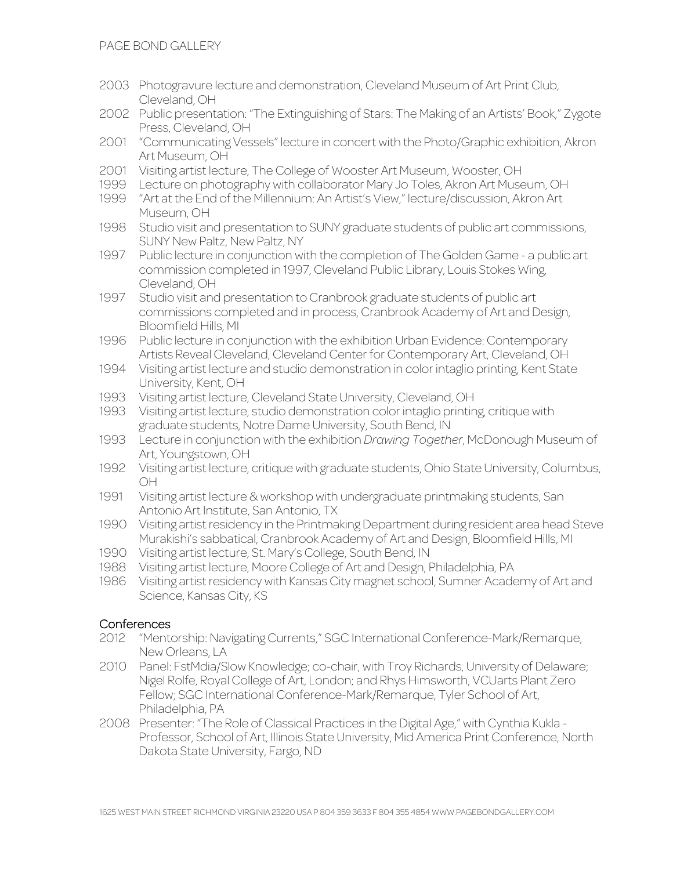- 2003 Photogravure lecture and demonstration, Cleveland Museum of Art Print Club, Cleveland, OH
- 2002 Public presentation: "The Extinguishing of Stars: The Making of an Artists' Book," Zygote Press, Cleveland, OH
- 2001 "Communicating Vessels" lecture in concert with the Photo/Graphic exhibition, Akron Art Museum, OH
- 2001 Visiting artist lecture, The College of Wooster Art Museum, Wooster, OH
- 1999 Lecture on photography with collaborator Mary Jo Toles, Akron Art Museum, OH
- 1999 "Art at the End of the Millennium: An Artist's View," lecture/discussion, Akron Art Museum, OH
- 1998 Studio visit and presentation to SUNY graduate students of public art commissions, SUNY New Paltz, New Paltz, NY
- 1997 Public lecture in conjunction with the completion of The Golden Game a public art commission completed in 1997, Cleveland Public Library, Louis Stokes Wing, Cleveland, OH
- 1997 Studio visit and presentation to Cranbrook graduate students of public art commissions completed and in process, Cranbrook Academy of Art and Design, Bloomfield Hills, MI
- 1996 Public lecture in conjunction with the exhibition Urban Evidence: Contemporary Artists Reveal Cleveland, Cleveland Center for Contemporary Art, Cleveland, OH
- 1994 Visiting artist lecture and studio demonstration in color intaglio printing, Kent State University, Kent, OH
- 1993 Visiting artist lecture, Cleveland State University, Cleveland, OH
- 1993 Visiting artist lecture, studio demonstration color intaglio printing, critique with graduate students, Notre Dame University, South Bend, IN
- 1993 Lecture in conjunction with the exhibition *Drawing Together*, McDonough Museum of Art, Youngstown, OH
- 1992 Visiting artist lecture, critique with graduate students, Ohio State University, Columbus, OH
- 1991 Visiting artist lecture & workshop with undergraduate printmaking students, San Antonio Art Institute, San Antonio, TX
- 1990 Visiting artist residency in the Printmaking Department during resident area head Steve Murakishi's sabbatical, Cranbrook Academy of Art and Design, Bloomfield Hills, MI
- 1990 Visiting artist lecture, St. Mary's College, South Bend, IN
- 1988 Visiting artist lecture, Moore College of Art and Design, Philadelphia, PA
- 1986 Visiting artist residency with Kansas City magnet school, Sumner Academy of Art and Science, Kansas City, KS

#### **Conferences**

- 2012 "Mentorship: Navigating Currents," SGC International Conference-Mark/Remarque, New Orleans, LA
- 2010 Panel: FstMdia/Slow Knowledge; co-chair, with Troy Richards, University of Delaware; Nigel Rolfe, Royal College of Art, London; and Rhys Himsworth, VCUarts Plant Zero Fellow; SGC International Conference-Mark/Remarque, Tyler School of Art, Philadelphia, PA
- 2008 Presenter: "The Role of Classical Practices in the Digital Age," with Cynthia Kukla Professor, School of Art, Illinois State University, Mid America Print Conference, North Dakota State University, Fargo, ND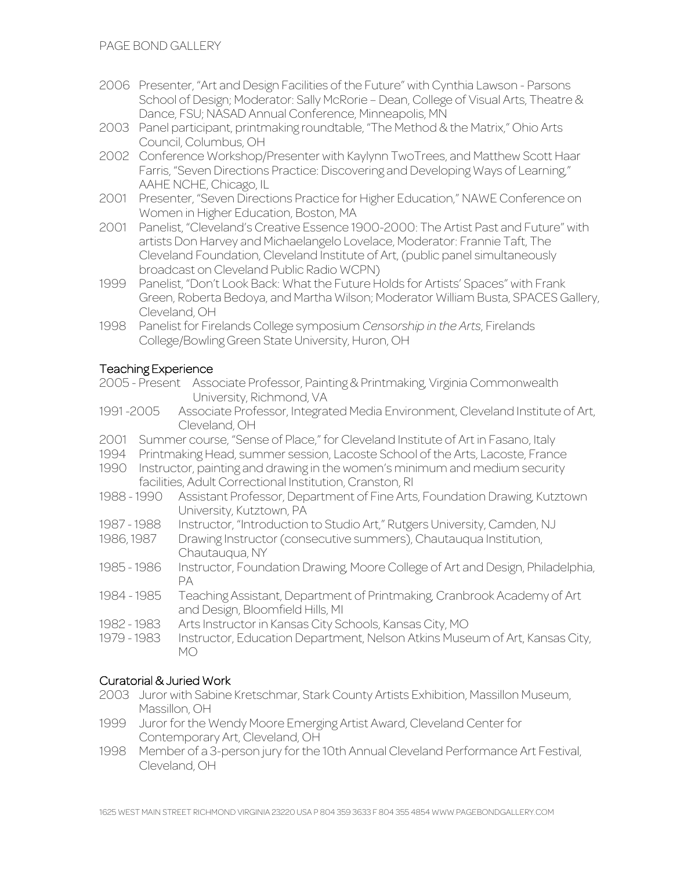- 2006 Presenter, "Art and Design Facilities of the Future" with Cynthia Lawson Parsons School of Design; Moderator: Sally McRorie – Dean, College of Visual Arts, Theatre & Dance, FSU; NASAD Annual Conference, Minneapolis, MN
- 2003 Panel participant, printmaking roundtable, "The Method & the Matrix," Ohio Arts Council, Columbus, OH
- 2002 Conference Workshop/Presenter with Kaylynn TwoTrees, and Matthew Scott Haar Farris, "Seven Directions Practice: Discovering and Developing Ways of Learning," AAHE NCHE, Chicago, IL
- 2001 Presenter, "Seven Directions Practice for Higher Education," NAWE Conference on Women in Higher Education, Boston, MA
- 2001 Panelist, "Cleveland's Creative Essence 1900-2000: The Artist Past and Future" with artists Don Harvey and Michaelangelo Lovelace, Moderator: Frannie Taft, The Cleveland Foundation, Cleveland Institute of Art, (public panel simultaneously broadcast on Cleveland Public Radio WCPN)
- 1999 Panelist, "Don't Look Back: What the Future Holds for Artists' Spaces" with Frank Green, Roberta Bedoya, and Martha Wilson; Moderator William Busta, SPACES Gallery, Cleveland, OH
- 1998 Panelist for Firelands College symposium *Censorship in the Arts*, Firelands College/Bowling Green State University, Huron, OH

# Teaching Experience

- 2005 Present Associate Professor, Painting & Printmaking, Virginia Commonwealth University, Richmond, VA
- 1991 -2005 Associate Professor, Integrated Media Environment, Cleveland Institute of Art, Cleveland, OH
- 2001 Summer course, "Sense of Place," for Cleveland Institute of Art in Fasano, Italy
- 1994 Printmaking Head, summer session, Lacoste School of the Arts, Lacoste, France
- 1990 Instructor, painting and drawing in the women's minimum and medium security facilities, Adult Correctional Institution, Cranston, RI
- Assistant Professor, Department of Fine Arts, Foundation Drawing, Kutztown University, Kutztown, PA
- 1987 1988 Instructor, "Introduction to Studio Art," Rutgers University, Camden, NJ<br>1986, 1987 Drawing Instructor (consecutive summers), Chautauqua Institution,
- Drawing Instructor (consecutive summers), Chautauqua Institution, Chautauqua, NY
- 1985 1986 Instructor, Foundation Drawing, Moore College of Art and Design, Philadelphia, PA
- 1984 1985 Teaching Assistant, Department of Printmaking, Cranbrook Academy of Art and Design, Bloomfield Hills, MI
- 1982 1983 Arts Instructor in Kansas City Schools, Kansas City, MO
- 1979 1983 Instructor, Education Department, Nelson Atkins Museum of Art, Kansas City, MO

# Curatorial & Juried Work

- 2003 Juror with Sabine Kretschmar, Stark County Artists Exhibition, Massillon Museum, Massillon, OH
- 1999 Juror for the Wendy Moore Emerging Artist Award, Cleveland Center for Contemporary Art, Cleveland, OH
- 1998 Member of a 3-person jury for the 10th Annual Cleveland Performance Art Festival, Cleveland, OH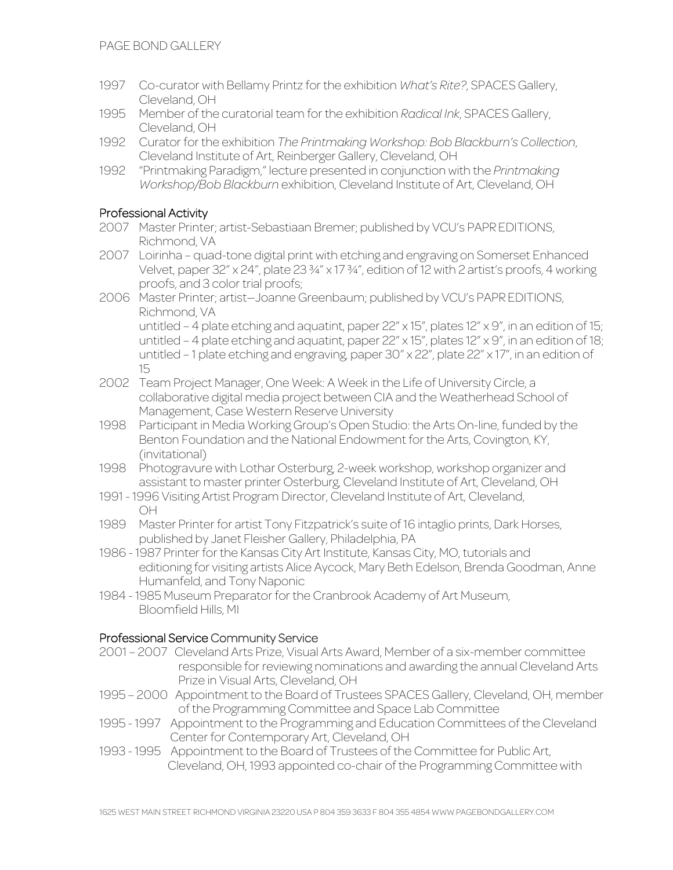- 1997 Co-curator with Bellamy Printz for the exhibition *What's Rite?*, SPACES Gallery, Cleveland, OH
- 1995 Member of the curatorial team for the exhibition *Radical Ink*, SPACES Gallery, Cleveland, OH
- 1992 Curator for the exhibition *The Printmaking Workshop: Bob Blackburn's Collection*, Cleveland Institute of Art, Reinberger Gallery, Cleveland, OH
- 1992 "Printmaking Paradigm," lecture presented in conjunction with the *Printmaking Workshop/Bob Blackburn* exhibition, Cleveland Institute of Art, Cleveland, OH

# Professional Activity

- 2007 Master Printer; artist-Sebastiaan Bremer; published by VCU's PAPR EDITIONS, Richmond, VA
- 2007 Loirinha quad-tone digital print with etching and engraving on Somerset Enhanced Velvet, paper 32" x 24", plate 23 ¾" x 17 ¾", edition of 12 with 2 artist's proofs, 4 working proofs, and 3 color trial proofs;
- 2006 Master Printer; artist—Joanne Greenbaum; published by VCU's PAPR EDITIONS, Richmond, VA untitled – 4 plate etching and aquatint, paper 22" x 15", plates 12" x 9", in an edition of 15; untitled – 4 plate etching and aquatint, paper 22" x 15", plates 12" x 9", in an edition of 18; untitled – 1 plate etching and engraving, paper 30" x 22", plate 22" x 17", in an edition of 15
- 2002 Team Project Manager, One Week: A Week in the Life of University Circle, a collaborative digital media project between CIA and the Weatherhead School of Management, Case Western Reserve University
- 1998 Participant in Media Working Group's Open Studio: the Arts On-line, funded by the Benton Foundation and the National Endowment for the Arts, Covington, KY, (invitational)
- 1998 Photogravure with Lothar Osterburg, 2-week workshop, workshop organizer and assistant to master printer Osterburg, Cleveland Institute of Art, Cleveland, OH
- 1991 1996 Visiting Artist Program Director, Cleveland Institute of Art, Cleveland, OH
- 1989 Master Printer for artist Tony Fitzpatrick's suite of 16 intaglio prints, Dark Horses, published by Janet Fleisher Gallery, Philadelphia, PA
- 1986 1987 Printer for the Kansas City Art Institute, Kansas City, MO, tutorials and editioning for visiting artists Alice Aycock, Mary Beth Edelson, Brenda Goodman, Anne Humanfeld, and Tony Naponic
- 1984 1985 Museum Preparator for the Cranbrook Academy of Art Museum, Bloomfield Hills, MI

# Professional Service Community Service

- 2001 2007 Cleveland Arts Prize, Visual Arts Award, Member of a six-member committee responsible for reviewing nominations and awarding the annual Cleveland Arts Prize in Visual Arts, Cleveland, OH
- 1995 2000 Appointment to the Board of Trustees SPACES Gallery, Cleveland, OH, member of the Programming Committee and Space Lab Committee
- 1995 1997 Appointment to the Programming and Education Committees of the Cleveland Center for Contemporary Art, Cleveland, OH
- 1993 1995 Appointment to the Board of Trustees of the Committee for Public Art, Cleveland, OH, 1993 appointed co-chair of the Programming Committee with